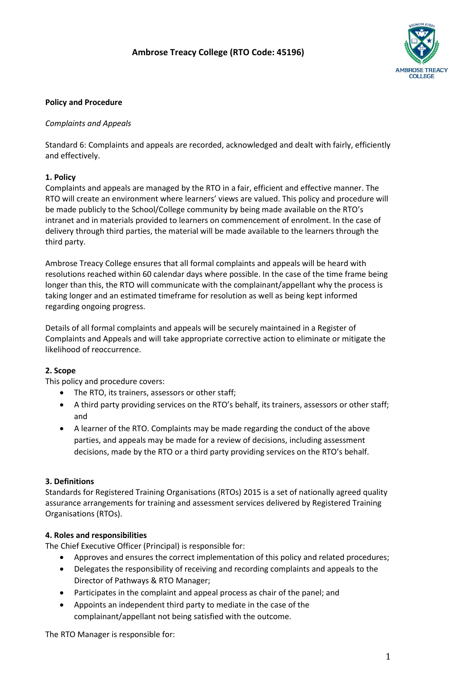## **Ambrose Treacy College (RTO Code: 45196)**



#### **Policy and Procedure**

#### *Complaints and Appeals*

Standard 6: Complaints and appeals are recorded, acknowledged and dealt with fairly, efficiently and effectively.

#### **1. Policy**

Complaints and appeals are managed by the RTO in a fair, efficient and effective manner. The RTO will create an environment where learners' views are valued. This policy and procedure will be made publicly to the School/College community by being made available on the RTO's intranet and in materials provided to learners on commencement of enrolment. In the case of delivery through third parties, the material will be made available to the learners through the third party.

Ambrose Treacy College ensures that all formal complaints and appeals will be heard with resolutions reached within 60 calendar days where possible. In the case of the time frame being longer than this, the RTO will communicate with the complainant/appellant why the process is taking longer and an estimated timeframe for resolution as well as being kept informed regarding ongoing progress.

Details of all formal complaints and appeals will be securely maintained in a Register of Complaints and Appeals and will take appropriate corrective action to eliminate or mitigate the likelihood of reoccurrence.

#### **2. Scope**

This policy and procedure covers:

- The RTO, its trainers, assessors or other staff;
- A third party providing services on the RTO's behalf, its trainers, assessors or other staff; and
- A learner of the RTO. Complaints may be made regarding the conduct of the above parties, and appeals may be made for a review of decisions, including assessment decisions, made by the RTO or a third party providing services on the RTO's behalf.

#### **3. Definitions**

Standards for Registered Training Organisations (RTOs) 2015 is a set of nationally agreed quality assurance arrangements for training and assessment services delivered by Registered Training Organisations (RTOs).

#### **4. Roles and responsibilities**

The Chief Executive Officer (Principal) is responsible for:

- Approves and ensures the correct implementation of this policy and related procedures;
- Delegates the responsibility of receiving and recording complaints and appeals to the Director of Pathways & RTO Manager;
- Participates in the complaint and appeal process as chair of the panel; and
- Appoints an independent third party to mediate in the case of the complainant/appellant not being satisfied with the outcome.

The RTO Manager is responsible for: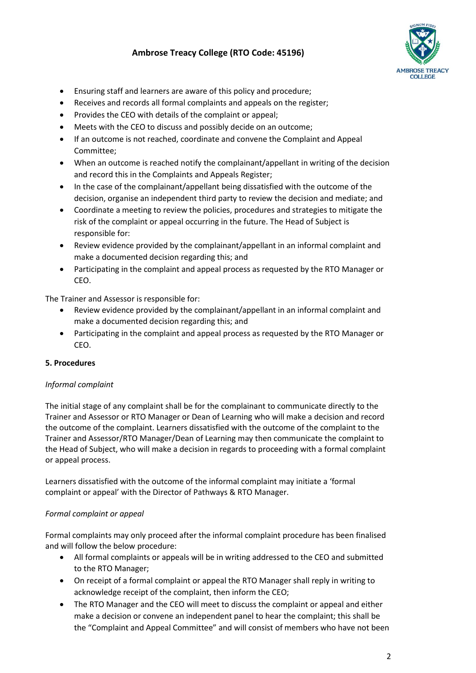# **Ambrose Treacy College (RTO Code: 45196)**



- Ensuring staff and learners are aware of this policy and procedure;
- Receives and records all formal complaints and appeals on the register;
- Provides the CEO with details of the complaint or appeal;
- Meets with the CEO to discuss and possibly decide on an outcome;
- If an outcome is not reached, coordinate and convene the Complaint and Appeal Committee;
- When an outcome is reached notify the complainant/appellant in writing of the decision and record this in the Complaints and Appeals Register;
- In the case of the complainant/appellant being dissatisfied with the outcome of the decision, organise an independent third party to review the decision and mediate; and
- Coordinate a meeting to review the policies, procedures and strategies to mitigate the risk of the complaint or appeal occurring in the future. The Head of Subject is responsible for:
- Review evidence provided by the complainant/appellant in an informal complaint and make a documented decision regarding this; and
- Participating in the complaint and appeal process as requested by the RTO Manager or CEO.

The Trainer and Assessor is responsible for:

- Review evidence provided by the complainant/appellant in an informal complaint and make a documented decision regarding this; and
- Participating in the complaint and appeal process as requested by the RTO Manager or CEO.

## **5. Procedures**

## *Informal complaint*

The initial stage of any complaint shall be for the complainant to communicate directly to the Trainer and Assessor or RTO Manager or Dean of Learning who will make a decision and record the outcome of the complaint. Learners dissatisfied with the outcome of the complaint to the Trainer and Assessor/RTO Manager/Dean of Learning may then communicate the complaint to the Head of Subject, who will make a decision in regards to proceeding with a formal complaint or appeal process.

Learners dissatisfied with the outcome of the informal complaint may initiate a 'formal complaint or appeal' with the Director of Pathways & RTO Manager.

## *Formal complaint or appeal*

Formal complaints may only proceed after the informal complaint procedure has been finalised and will follow the below procedure:

- All formal complaints or appeals will be in writing addressed to the CEO and submitted to the RTO Manager;
- On receipt of a formal complaint or appeal the RTO Manager shall reply in writing to acknowledge receipt of the complaint, then inform the CEO;
- The RTO Manager and the CEO will meet to discuss the complaint or appeal and either make a decision or convene an independent panel to hear the complaint; this shall be the "Complaint and Appeal Committee" and will consist of members who have not been